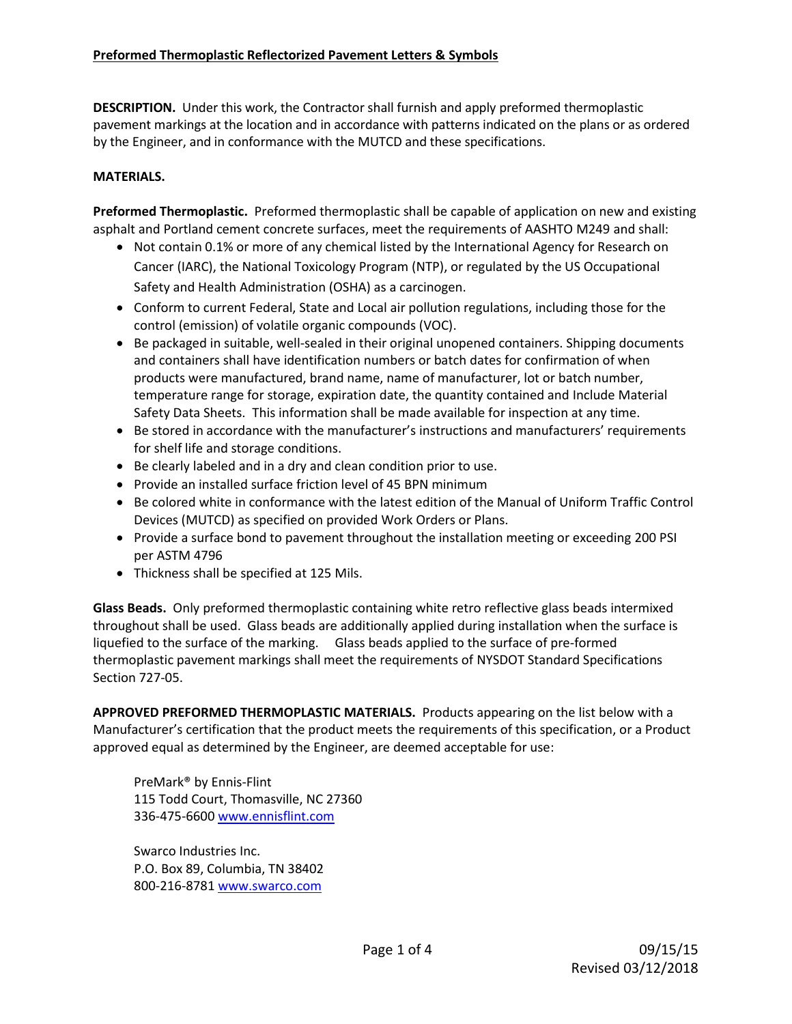## **Preformed Thermoplastic Reflectorized Pavement Letters & Symbols**

**DESCRIPTION.** Under this work, the Contractor shall furnish and apply preformed thermoplastic pavement markings at the location and in accordance with patterns indicated on the plans or as ordered by the Engineer, and in conformance with the MUTCD and these specifications.

#### **MATERIALS.**

**Preformed Thermoplastic.** Preformed thermoplastic shall be capable of application on new and existing asphalt and Portland cement concrete surfaces, meet the requirements of AASHTO M249 and shall:

- Not contain 0.1% or more of any chemical listed by the International Agency for Research on Cancer (IARC), the National Toxicology Program (NTP), or regulated by the US Occupational Safety and Health Administration (OSHA) as a carcinogen.
- Conform to current Federal, State and Local air pollution regulations, including those for the control (emission) of volatile organic compounds (VOC).
- Be packaged in suitable, well-sealed in their original unopened containers. Shipping documents and containers shall have identification numbers or batch dates for confirmation of when products were manufactured, brand name, name of manufacturer, lot or batch number, temperature range for storage, expiration date, the quantity contained and Include Material Safety Data Sheets. This information shall be made available for inspection at any time.
- Be stored in accordance with the manufacturer's instructions and manufacturers' requirements for shelf life and storage conditions.
- Be clearly labeled and in a dry and clean condition prior to use.
- Provide an installed surface friction level of 45 BPN minimum
- Be colored white in conformance with the latest edition of the Manual of Uniform Traffic Control Devices (MUTCD) as specified on provided Work Orders or Plans.
- Provide a surface bond to pavement throughout the installation meeting or exceeding 200 PSI per ASTM 4796
- Thickness shall be specified at 125 Mils.

**Glass Beads.** Only preformed thermoplastic containing white retro reflective glass beads intermixed throughout shall be used. Glass beads are additionally applied during installation when the surface is liquefied to the surface of the marking. Glass beads applied to the surface of pre-formed thermoplastic pavement markings shall meet the requirements of NYSDOT Standard Specifications Section 727-05.

**APPROVED PREFORMED THERMOPLASTIC MATERIALS.** Products appearing on the list below with a Manufacturer's certification that the product meets the requirements of this specification, or a Product approved equal as determined by the Engineer, are deemed acceptable for use:

PreMark® by Ennis-Flint 115 Todd Court, Thomasville, NC 27360 336-475-6600 [www.ennisflint.com](http://www.ennisflint.com/)

Swarco Industries Inc. P.O. Box 89, Columbia, TN 38402 800-216-878[1 www.swarco.com](http://www.swarco.com/)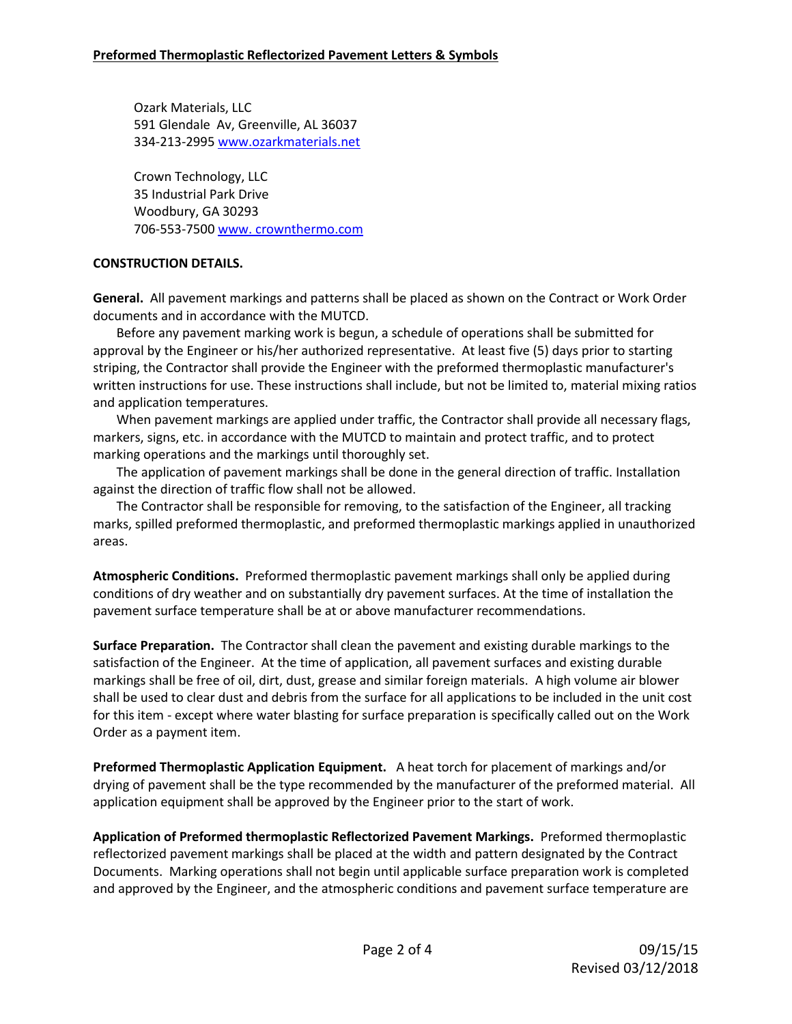Ozark Materials, LLC 591 Glendale Av, Greenville, AL 36037 334-213-2995 www.ozarkmaterials.net

Crown Technology, LLC 35 Industrial Park Drive Woodbury, GA 30293 706-553-7500 www. [crownthermo.com](file:///C:/Users/Jkosaka/AppData/Local/Microsoft/Windows/Temporary%20Internet%20Files/Content.Outlook/7XRDQ0GV/chrownthermo.com)

# **CONSTRUCTION DETAILS.**

**General.** All pavement markings and patterns shall be placed as shown on the Contract or Work Order documents and in accordance with the MUTCD.

Before any pavement marking work is begun, a schedule of operations shall be submitted for approval by the Engineer or his/her authorized representative. At least five (5) days prior to starting striping, the Contractor shall provide the Engineer with the preformed thermoplastic manufacturer's written instructions for use. These instructions shall include, but not be limited to, material mixing ratios and application temperatures.

When pavement markings are applied under traffic, the Contractor shall provide all necessary flags, markers, signs, etc. in accordance with the MUTCD to maintain and protect traffic, and to protect marking operations and the markings until thoroughly set.

The application of pavement markings shall be done in the general direction of traffic. Installation against the direction of traffic flow shall not be allowed.

The Contractor shall be responsible for removing, to the satisfaction of the Engineer, all tracking marks, spilled preformed thermoplastic, and preformed thermoplastic markings applied in unauthorized areas.

**Atmospheric Conditions.** Preformed thermoplastic pavement markings shall only be applied during conditions of dry weather and on substantially dry pavement surfaces. At the time of installation the pavement surface temperature shall be at or above manufacturer recommendations.

**Surface Preparation.** The Contractor shall clean the pavement and existing durable markings to the satisfaction of the Engineer. At the time of application, all pavement surfaces and existing durable markings shall be free of oil, dirt, dust, grease and similar foreign materials. A high volume air blower shall be used to clear dust and debris from the surface for all applications to be included in the unit cost for this item - except where water blasting for surface preparation is specifically called out on the Work Order as a payment item.

**Preformed Thermoplastic Application Equipment.** A heat torch for placement of markings and/or drying of pavement shall be the type recommended by the manufacturer of the preformed material. All application equipment shall be approved by the Engineer prior to the start of work.

**Application of Preformed thermoplastic Reflectorized Pavement Markings.** Preformed thermoplastic reflectorized pavement markings shall be placed at the width and pattern designated by the Contract Documents. Marking operations shall not begin until applicable surface preparation work is completed and approved by the Engineer, and the atmospheric conditions and pavement surface temperature are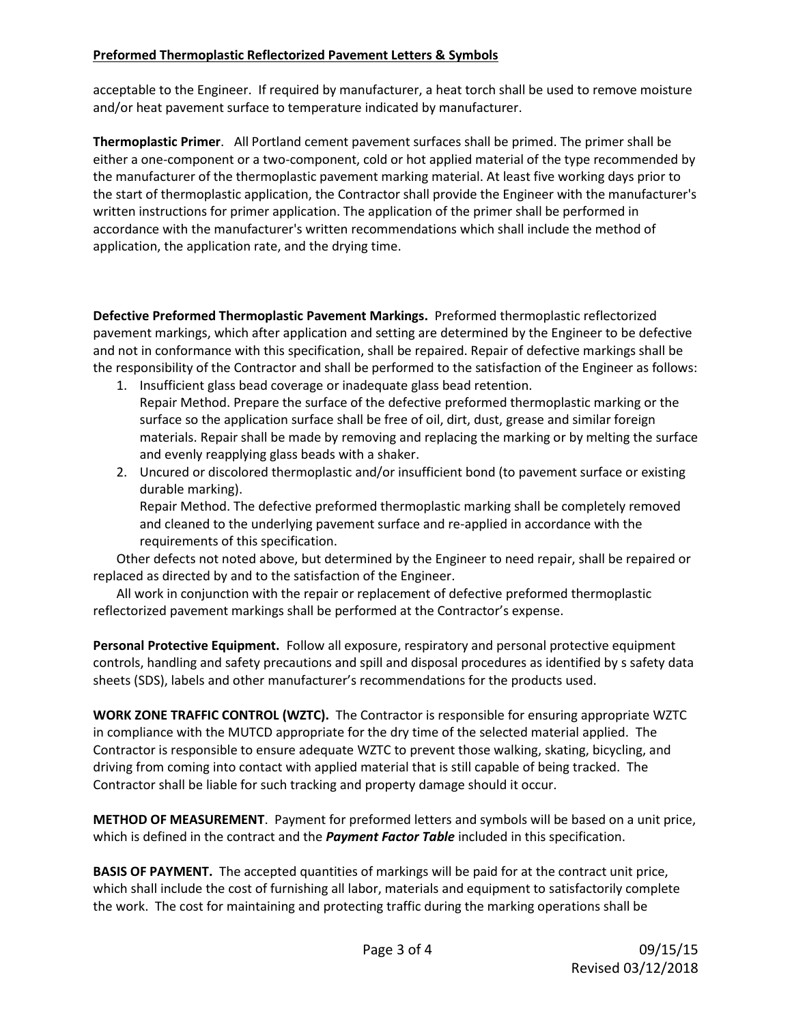# **Preformed Thermoplastic Reflectorized Pavement Letters & Symbols**

acceptable to the Engineer. If required by manufacturer, a heat torch shall be used to remove moisture and/or heat pavement surface to temperature indicated by manufacturer.

**Thermoplastic Primer**. All Portland cement pavement surfaces shall be primed. The primer shall be either a one-component or a two-component, cold or hot applied material of the type recommended by the manufacturer of the thermoplastic pavement marking material. At least five working days prior to the start of thermoplastic application, the Contractor shall provide the Engineer with the manufacturer's written instructions for primer application. The application of the primer shall be performed in accordance with the manufacturer's written recommendations which shall include the method of application, the application rate, and the drying time.

**Defective Preformed Thermoplastic Pavement Markings.** Preformed thermoplastic reflectorized pavement markings, which after application and setting are determined by the Engineer to be defective and not in conformance with this specification, shall be repaired. Repair of defective markings shall be the responsibility of the Contractor and shall be performed to the satisfaction of the Engineer as follows:

- 1. Insufficient glass bead coverage or inadequate glass bead retention. Repair Method. Prepare the surface of the defective preformed thermoplastic marking or the surface so the application surface shall be free of oil, dirt, dust, grease and similar foreign materials. Repair shall be made by removing and replacing the marking or by melting the surface and evenly reapplying glass beads with a shaker.
- 2. Uncured or discolored thermoplastic and/or insufficient bond (to pavement surface or existing durable marking).

Repair Method. The defective preformed thermoplastic marking shall be completely removed and cleaned to the underlying pavement surface and re-applied in accordance with the requirements of this specification.

Other defects not noted above, but determined by the Engineer to need repair, shall be repaired or replaced as directed by and to the satisfaction of the Engineer.

All work in conjunction with the repair or replacement of defective preformed thermoplastic reflectorized pavement markings shall be performed at the Contractor's expense.

**Personal Protective Equipment.** Follow all exposure, respiratory and personal protective equipment controls, handling and safety precautions and spill and disposal procedures as identified by s safety data sheets (SDS), labels and other manufacturer's recommendations for the products used.

**WORK ZONE TRAFFIC CONTROL (WZTC).** The Contractor is responsible for ensuring appropriate WZTC in compliance with the MUTCD appropriate for the dry time of the selected material applied. The Contractor is responsible to ensure adequate WZTC to prevent those walking, skating, bicycling, and driving from coming into contact with applied material that is still capable of being tracked. The Contractor shall be liable for such tracking and property damage should it occur.

**METHOD OF MEASUREMENT**. Payment for preformed letters and symbols will be based on a unit price, which is defined in the contract and the *Payment Factor Table* included in this specification.

**BASIS OF PAYMENT.** The accepted quantities of markings will be paid for at the contract unit price, which shall include the cost of furnishing all labor, materials and equipment to satisfactorily complete the work. The cost for maintaining and protecting traffic during the marking operations shall be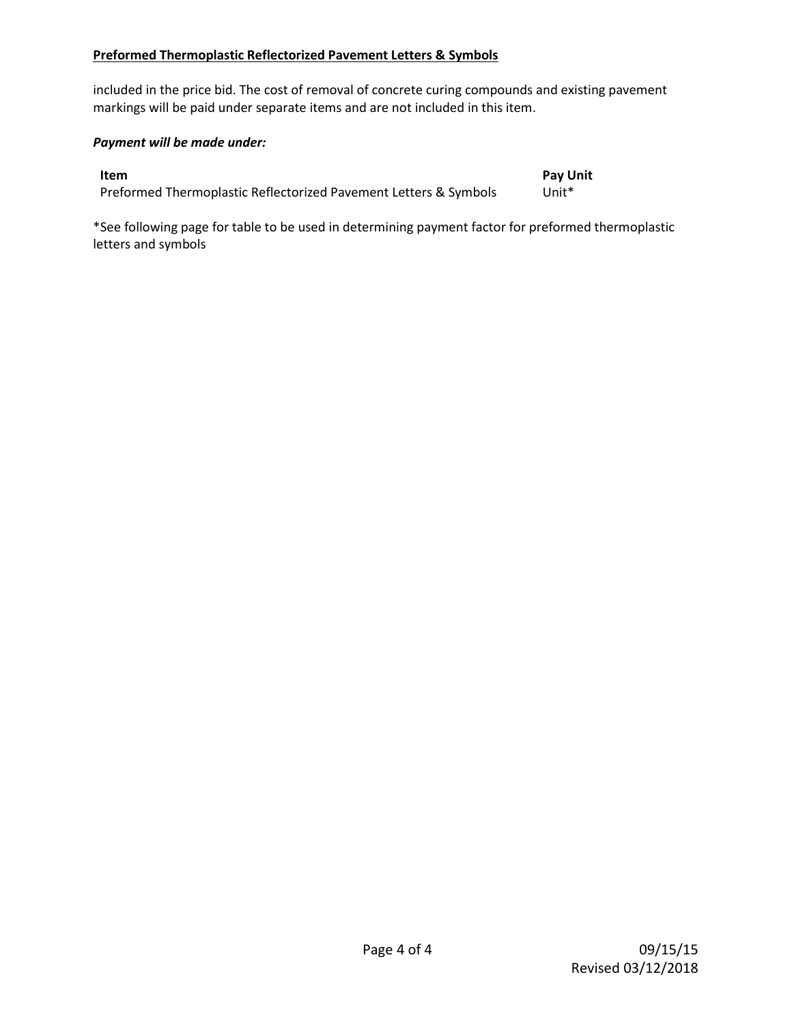#### **Preformed Thermoplastic Reflectorized Pavement Letters & Symbols**

included in the price bid. The cost of removal of concrete curing compounds and existing pavement markings will be paid under separate items and are not included in this item.

## *Payment will be made under:*

**Item Pay Unit** Preformed Thermoplastic Reflectorized Pavement Letters & Symbols Unit\*

\*See following page for table to be used in determining payment factor for preformed thermoplastic letters and symbols